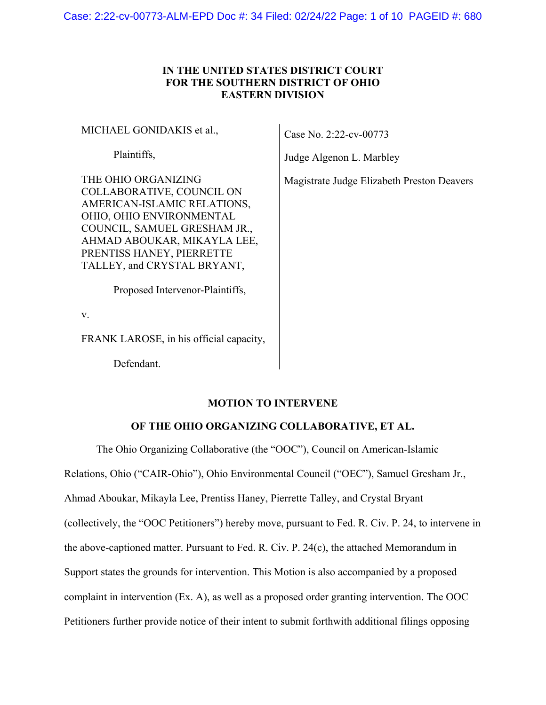Case: 2:22-cv-00773-ALM-EPD Doc #: 34 Filed: 02/24/22 Page: 1 of 10 PAGEID #: 680

## **IN THE UNITED STATES DISTRICT COURT FOR THE SOUTHERN DISTRICT OF OHIO EASTERN DIVISION**

MICHAEL GONIDAKIS et al.,

Plaintiffs,

THE OHIO ORGANIZING COLLABORATIVE, COUNCIL ON AMERICAN-ISLAMIC RELATIONS, OHIO, OHIO ENVIRONMENTAL COUNCIL, SAMUEL GRESHAM JR., AHMAD ABOUKAR, MIKAYLA LEE, PRENTISS HANEY, PIERRETTE TALLEY, and CRYSTAL BRYANT,

Proposed Intervenor-Plaintiffs,

v.

FRANK LAROSE, in his official capacity,

Defendant.

### **MOTION TO INTERVENE**

# **OF THE OHIO ORGANIZING COLLABORATIVE, ET AL.**

The Ohio Organizing Collaborative (the "OOC"), Council on American-Islamic

Relations, Ohio ("CAIR-Ohio"), Ohio Environmental Council ("OEC"), Samuel Gresham Jr.,

Ahmad Aboukar, Mikayla Lee, Prentiss Haney, Pierrette Talley, and Crystal Bryant

(collectively, the "OOC Petitioners") hereby move, pursuant to Fed. R. Civ. P. 24, to intervene in

the above-captioned matter. Pursuant to Fed. R. Civ. P. 24(c), the attached Memorandum in

Support states the grounds for intervention. This Motion is also accompanied by a proposed

complaint in intervention (Ex. A), as well as a proposed order granting intervention. The OOC

Petitioners further provide notice of their intent to submit forthwith additional filings opposing

Case No. 2:22-cv-00773

Judge Algenon L. Marbley

Magistrate Judge Elizabeth Preston Deavers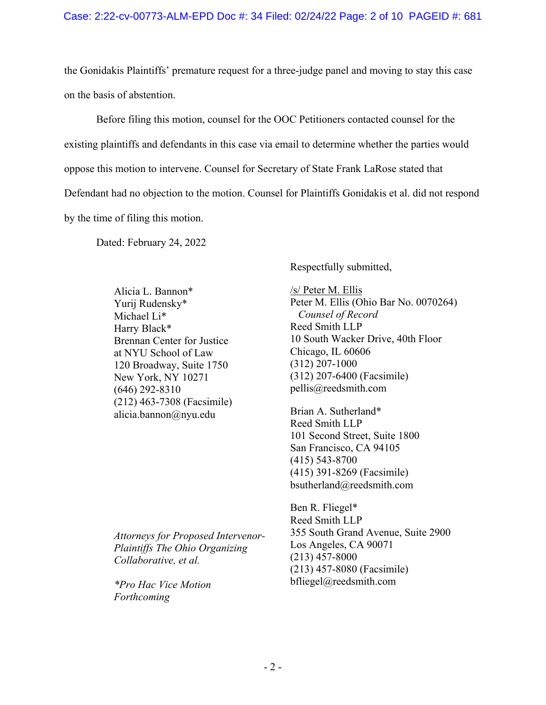the Gonidakis Plaintiffs' premature request for a three-judge panel and moving to stay this case on the basis of abstention.

Before filing this motion, counsel for the OOC Petitioners contacted counsel for the existing plaintiffs and defendants in this case via email to determine whether the parties would oppose this motion to intervene. Counsel for Secretary of State Frank LaRose stated that Defendant had no objection to the motion. Counsel for Plaintiffs Gonidakis et al. did not respond by the time of filing this motion.

Dated: February 24, 2022

Alicia L. Bannon\* Yurij Rudensky\* Michael Li\* Harry Black\* Brennan Center for Justice at NYU School of Law 120 Broadway, Suite 1750 New York, NY 10271 (646) 292-8310 (212) 463-7308 (Facsimile) alicia.bannon@nyu.edu

Respectfully submitted,

/s/ Peter M. Ellis Peter M. Ellis (Ohio Bar No. 0070264)  *Counsel of Record*  Reed Smith LLP 10 South Wacker Drive, 40th Floor Chicago, IL 60606 (312) 207-1000 (312) 207-6400 (Facsimile) pellis@reedsmith.com

Brian A. Sutherland\* Reed Smith LLP 101 Second Street, Suite 1800 San Francisco, CA 94105 (415) 543-8700 (415) 391-8269 (Facsimile) bsutherland@reedsmith.com

Ben R. Fliegel\* Reed Smith LLP 355 South Grand Avenue, Suite 2900 Los Angeles, CA 90071 (213) 457-8000 (213) 457-8080 (Facsimile) bfliegel@reedsmith.com

*Attorneys for Proposed Intervenor-Plaintiffs The Ohio Organizing Collaborative, et al.* 

*\*Pro Hac Vice Motion Forthcoming*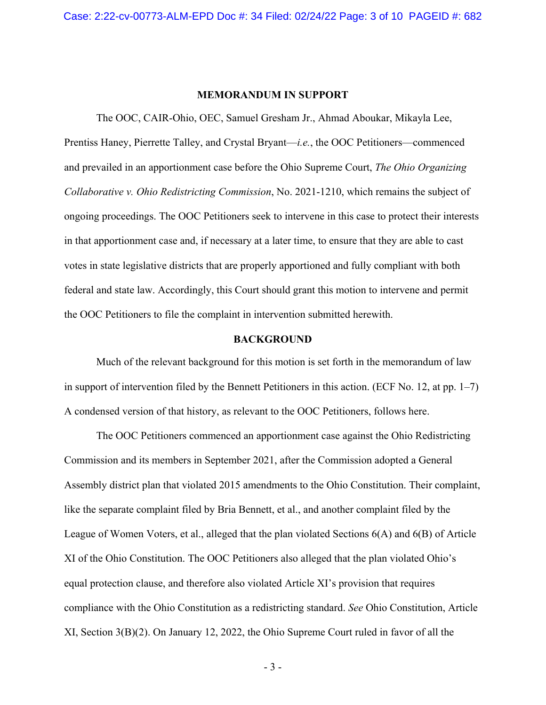### **MEMORANDUM IN SUPPORT**

The OOC, CAIR-Ohio, OEC, Samuel Gresham Jr., Ahmad Aboukar, Mikayla Lee, Prentiss Haney, Pierrette Talley, and Crystal Bryant—*i.e.*, the OOC Petitioners—commenced and prevailed in an apportionment case before the Ohio Supreme Court, *The Ohio Organizing Collaborative v. Ohio Redistricting Commission*, No. 2021-1210, which remains the subject of ongoing proceedings. The OOC Petitioners seek to intervene in this case to protect their interests in that apportionment case and, if necessary at a later time, to ensure that they are able to cast votes in state legislative districts that are properly apportioned and fully compliant with both federal and state law. Accordingly, this Court should grant this motion to intervene and permit the OOC Petitioners to file the complaint in intervention submitted herewith.

### **BACKGROUND**

Much of the relevant background for this motion is set forth in the memorandum of law in support of intervention filed by the Bennett Petitioners in this action. (ECF No. 12, at pp. 1–7) A condensed version of that history, as relevant to the OOC Petitioners, follows here.

The OOC Petitioners commenced an apportionment case against the Ohio Redistricting Commission and its members in September 2021, after the Commission adopted a General Assembly district plan that violated 2015 amendments to the Ohio Constitution. Their complaint, like the separate complaint filed by Bria Bennett, et al., and another complaint filed by the League of Women Voters, et al., alleged that the plan violated Sections 6(A) and 6(B) of Article XI of the Ohio Constitution. The OOC Petitioners also alleged that the plan violated Ohio's equal protection clause, and therefore also violated Article XI's provision that requires compliance with the Ohio Constitution as a redistricting standard. *See* Ohio Constitution, Article XI, Section 3(B)(2). On January 12, 2022, the Ohio Supreme Court ruled in favor of all the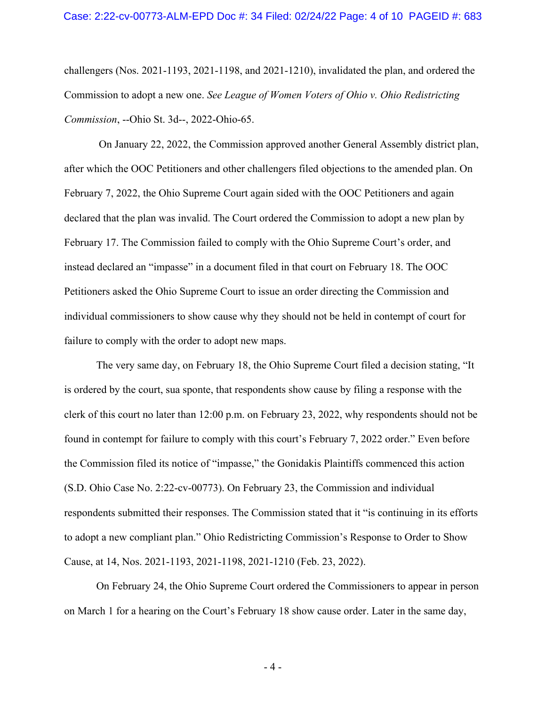challengers (Nos. 2021-1193, 2021-1198, and 2021-1210), invalidated the plan, and ordered the Commission to adopt a new one. *See League of Women Voters of Ohio v. Ohio Redistricting Commission*, --Ohio St. 3d--, 2022-Ohio-65.

On January 22, 2022, the Commission approved another General Assembly district plan, after which the OOC Petitioners and other challengers filed objections to the amended plan. On February 7, 2022, the Ohio Supreme Court again sided with the OOC Petitioners and again declared that the plan was invalid. The Court ordered the Commission to adopt a new plan by February 17. The Commission failed to comply with the Ohio Supreme Court's order, and instead declared an "impasse" in a document filed in that court on February 18. The OOC Petitioners asked the Ohio Supreme Court to issue an order directing the Commission and individual commissioners to show cause why they should not be held in contempt of court for failure to comply with the order to adopt new maps.

The very same day, on February 18, the Ohio Supreme Court filed a decision stating, "It is ordered by the court, sua sponte, that respondents show cause by filing a response with the clerk of this court no later than 12:00 p.m. on February 23, 2022, why respondents should not be found in contempt for failure to comply with this court's February 7, 2022 order." Even before the Commission filed its notice of "impasse," the Gonidakis Plaintiffs commenced this action (S.D. Ohio Case No. 2:22-cv-00773). On February 23, the Commission and individual respondents submitted their responses. The Commission stated that it "is continuing in its efforts to adopt a new compliant plan." Ohio Redistricting Commission's Response to Order to Show Cause, at 14, Nos. 2021-1193, 2021-1198, 2021-1210 (Feb. 23, 2022).

On February 24, the Ohio Supreme Court ordered the Commissioners to appear in person on March 1 for a hearing on the Court's February 18 show cause order. Later in the same day,

 $-4-$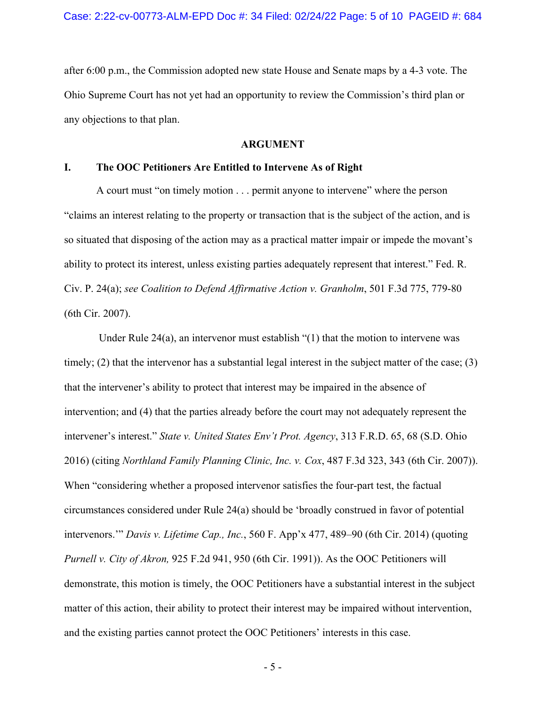after 6:00 p.m., the Commission adopted new state House and Senate maps by a 4-3 vote. The Ohio Supreme Court has not yet had an opportunity to review the Commission's third plan or any objections to that plan.

#### **ARGUMENT**

### **I. The OOC Petitioners Are Entitled to Intervene As of Right**

A court must "on timely motion . . . permit anyone to intervene" where the person "claims an interest relating to the property or transaction that is the subject of the action, and is so situated that disposing of the action may as a practical matter impair or impede the movant's ability to protect its interest, unless existing parties adequately represent that interest." Fed. R. Civ. P. 24(a); *see Coalition to Defend Affirmative Action v. Granholm*, 501 F.3d 775, 779-80 (6th Cir. 2007).

 Under Rule 24(a), an intervenor must establish "(1) that the motion to intervene was timely; (2) that the intervenor has a substantial legal interest in the subject matter of the case; (3) that the intervener's ability to protect that interest may be impaired in the absence of intervention; and (4) that the parties already before the court may not adequately represent the intervener's interest." *State v. United States Env't Prot. Agency*, 313 F.R.D. 65, 68 (S.D. Ohio 2016) (citing *Northland Family Planning Clinic, Inc. v. Cox*, 487 F.3d 323, 343 (6th Cir. 2007)). When "considering whether a proposed intervenor satisfies the four-part test, the factual circumstances considered under Rule 24(a) should be 'broadly construed in favor of potential intervenors.'" *Davis v. Lifetime Cap., Inc.*, 560 F. App'x 477, 489–90 (6th Cir. 2014) (quoting *Purnell v. City of Akron,* 925 F.2d 941, 950 (6th Cir. 1991)). As the OOC Petitioners will demonstrate, this motion is timely, the OOC Petitioners have a substantial interest in the subject matter of this action, their ability to protect their interest may be impaired without intervention, and the existing parties cannot protect the OOC Petitioners' interests in this case.

 $-5 -$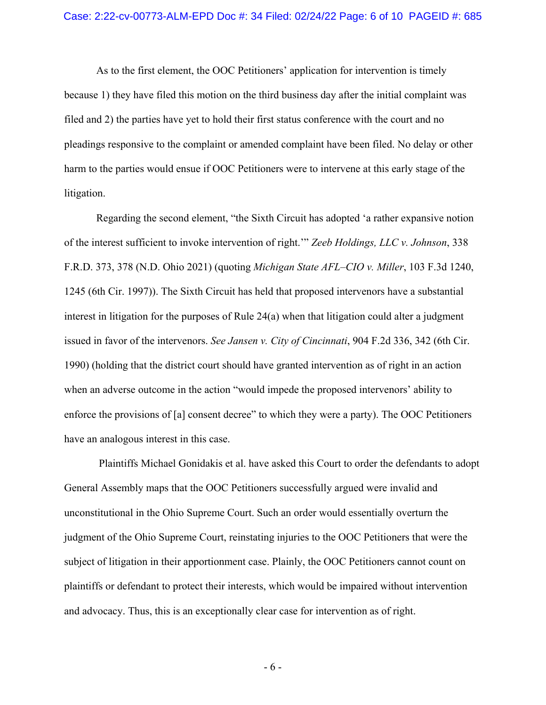As to the first element, the OOC Petitioners' application for intervention is timely because 1) they have filed this motion on the third business day after the initial complaint was filed and 2) the parties have yet to hold their first status conference with the court and no pleadings responsive to the complaint or amended complaint have been filed. No delay or other harm to the parties would ensue if OOC Petitioners were to intervene at this early stage of the litigation.

Regarding the second element, "the Sixth Circuit has adopted 'a rather expansive notion of the interest sufficient to invoke intervention of right.'" *Zeeb Holdings, LLC v. Johnson*, 338 F.R.D. 373, 378 (N.D. Ohio 2021) (quoting *Michigan State AFL–CIO v. Miller*, 103 F.3d 1240, 1245 (6th Cir. 1997)). The Sixth Circuit has held that proposed intervenors have a substantial interest in litigation for the purposes of Rule  $24(a)$  when that litigation could alter a judgment issued in favor of the intervenors. *See Jansen v. City of Cincinnati*, 904 F.2d 336, 342 (6th Cir. 1990) (holding that the district court should have granted intervention as of right in an action when an adverse outcome in the action "would impede the proposed intervenors' ability to enforce the provisions of [a] consent decree" to which they were a party). The OOC Petitioners have an analogous interest in this case.

 Plaintiffs Michael Gonidakis et al. have asked this Court to order the defendants to adopt General Assembly maps that the OOC Petitioners successfully argued were invalid and unconstitutional in the Ohio Supreme Court. Such an order would essentially overturn the judgment of the Ohio Supreme Court, reinstating injuries to the OOC Petitioners that were the subject of litigation in their apportionment case. Plainly, the OOC Petitioners cannot count on plaintiffs or defendant to protect their interests, which would be impaired without intervention and advocacy. Thus, this is an exceptionally clear case for intervention as of right.

 $-6-$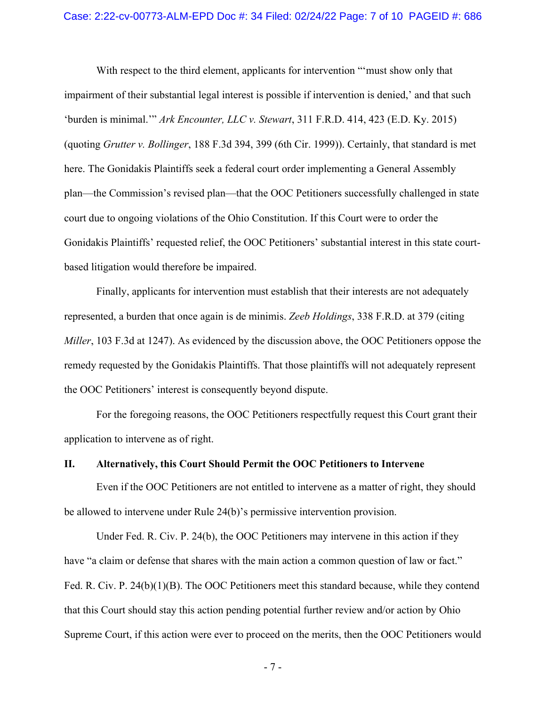With respect to the third element, applicants for intervention "'must show only that impairment of their substantial legal interest is possible if intervention is denied,' and that such 'burden is minimal.'" *Ark Encounter, LLC v. Stewart*, 311 F.R.D. 414, 423 (E.D. Ky. 2015) (quoting *Grutter v. Bollinger*, 188 F.3d 394, 399 (6th Cir. 1999)). Certainly, that standard is met here. The Gonidakis Plaintiffs seek a federal court order implementing a General Assembly plan—the Commission's revised plan—that the OOC Petitioners successfully challenged in state court due to ongoing violations of the Ohio Constitution. If this Court were to order the Gonidakis Plaintiffs' requested relief, the OOC Petitioners' substantial interest in this state courtbased litigation would therefore be impaired.

Finally, applicants for intervention must establish that their interests are not adequately represented, a burden that once again is de minimis. *Zeeb Holdings*, 338 F.R.D. at 379 (citing *Miller*, 103 F.3d at 1247). As evidenced by the discussion above, the OOC Petitioners oppose the remedy requested by the Gonidakis Plaintiffs. That those plaintiffs will not adequately represent the OOC Petitioners' interest is consequently beyond dispute.

 For the foregoing reasons, the OOC Petitioners respectfully request this Court grant their application to intervene as of right.

#### **II. Alternatively, this Court Should Permit the OOC Petitioners to Intervene**

Even if the OOC Petitioners are not entitled to intervene as a matter of right, they should be allowed to intervene under Rule 24(b)'s permissive intervention provision.

Under Fed. R. Civ. P. 24(b), the OOC Petitioners may intervene in this action if they have "a claim or defense that shares with the main action a common question of law or fact." Fed. R. Civ. P. 24(b)(1)(B). The OOC Petitioners meet this standard because, while they contend that this Court should stay this action pending potential further review and/or action by Ohio Supreme Court, if this action were ever to proceed on the merits, then the OOC Petitioners would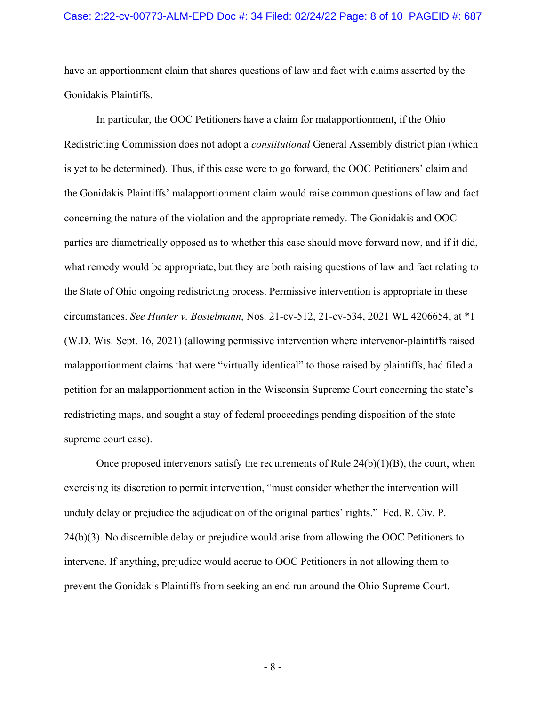have an apportionment claim that shares questions of law and fact with claims asserted by the Gonidakis Plaintiffs.

In particular, the OOC Petitioners have a claim for malapportionment, if the Ohio Redistricting Commission does not adopt a *constitutional* General Assembly district plan (which is yet to be determined). Thus, if this case were to go forward, the OOC Petitioners' claim and the Gonidakis Plaintiffs' malapportionment claim would raise common questions of law and fact concerning the nature of the violation and the appropriate remedy. The Gonidakis and OOC parties are diametrically opposed as to whether this case should move forward now, and if it did, what remedy would be appropriate, but they are both raising questions of law and fact relating to the State of Ohio ongoing redistricting process. Permissive intervention is appropriate in these circumstances. *See Hunter v. Bostelmann*, Nos. 21-cv-512, 21-cv-534, 2021 WL 4206654, at \*1 (W.D. Wis. Sept. 16, 2021) (allowing permissive intervention where intervenor-plaintiffs raised malapportionment claims that were "virtually identical" to those raised by plaintiffs, had filed a petition for an malapportionment action in the Wisconsin Supreme Court concerning the state's redistricting maps, and sought a stay of federal proceedings pending disposition of the state supreme court case).

Once proposed intervenors satisfy the requirements of Rule  $24(b)(1)(B)$ , the court, when exercising its discretion to permit intervention, "must consider whether the intervention will unduly delay or prejudice the adjudication of the original parties' rights." Fed. R. Civ. P. 24(b)(3). No discernible delay or prejudice would arise from allowing the OOC Petitioners to intervene. If anything, prejudice would accrue to OOC Petitioners in not allowing them to prevent the Gonidakis Plaintiffs from seeking an end run around the Ohio Supreme Court.

- 8 -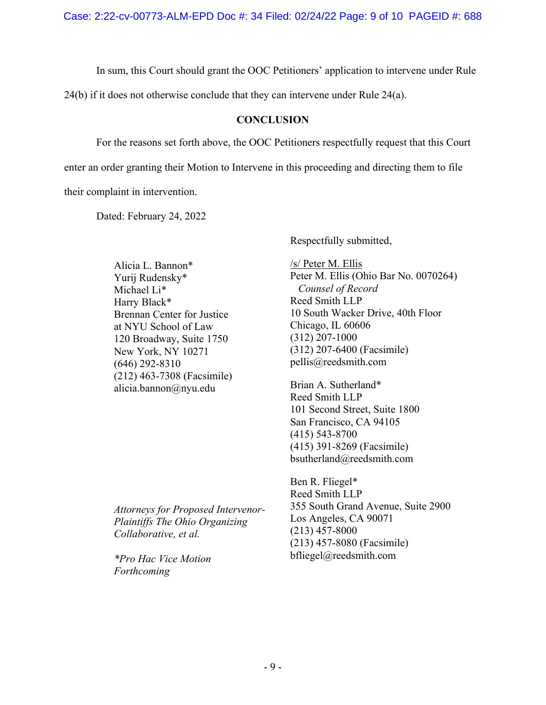In sum, this Court should grant the OOC Petitioners' application to intervene under Rule

24(b) if it does not otherwise conclude that they can intervene under Rule 24(a).

## **CONCLUSION**

For the reasons set forth above, the OOC Petitioners respectfully request that this Court

enter an order granting their Motion to Intervene in this proceeding and directing them to file

their complaint in intervention.

Dated: February 24, 2022

Alicia L. Bannon\* Yurij Rudensky\* Michael Li\* Harry Black\* Brennan Center for Justice at NYU School of Law 120 Broadway, Suite 1750 New York, NY 10271 (646) 292-8310 (212) 463-7308 (Facsimile) alicia.bannon@nyu.edu

*Attorneys for Proposed Intervenor-Plaintiffs The Ohio Organizing Collaborative, et al.* 

*\*Pro Hac Vice Motion Forthcoming* 

Respectfully submitted,

/s/ Peter M. Ellis Peter M. Ellis (Ohio Bar No. 0070264)  *Counsel of Record*  Reed Smith LLP 10 South Wacker Drive, 40th Floor Chicago, IL 60606 (312) 207-1000 (312) 207-6400 (Facsimile) pellis@reedsmith.com

Brian A. Sutherland\* Reed Smith LLP 101 Second Street, Suite 1800 San Francisco, CA 94105 (415) 543-8700 (415) 391-8269 (Facsimile) bsutherland@reedsmith.com

Ben R. Fliegel\* Reed Smith LLP 355 South Grand Avenue, Suite 2900 Los Angeles, CA 90071 (213) 457-8000 (213) 457-8080 (Facsimile) bfliegel@reedsmith.com